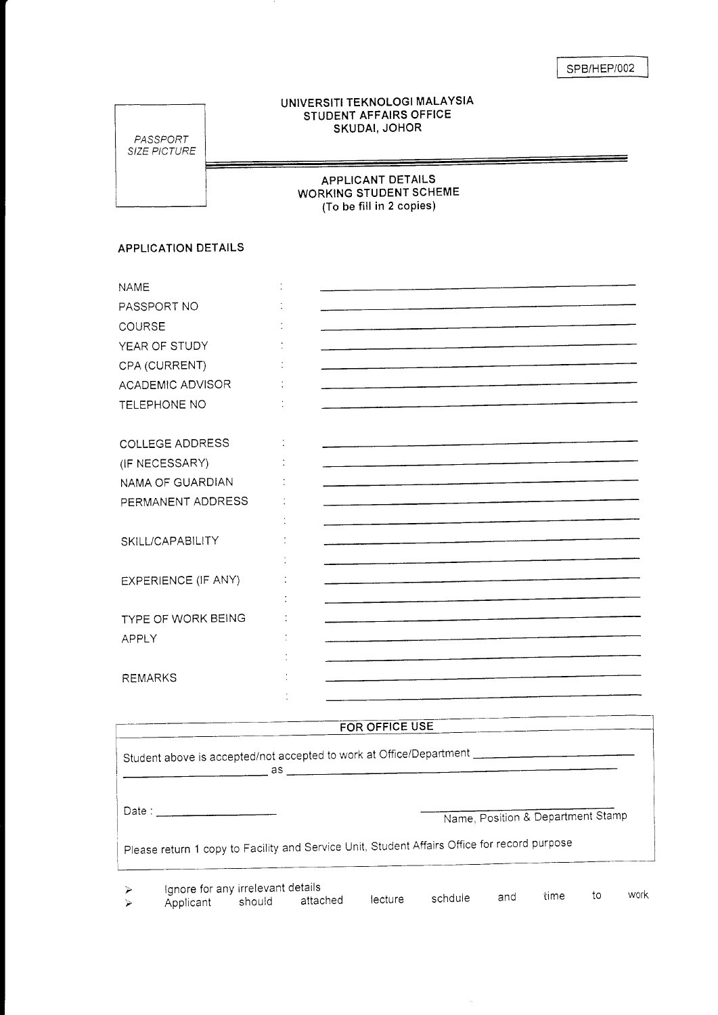## UNIVERSITI TEKNOLOGI MALAYSIA STUDENT AFFAIRS OFFICE SKUDAI, JOHOR

PASSPORT SIZE PICTURE

APPLICANT DETAILS WORKING STUDENT SCHEME (To be fill in 2 copies)

## APPLICATION DETAILS

| <b>NAME</b>         |  |
|---------------------|--|
| PASSPORT NO         |  |
| COURSE              |  |
| YEAR OF STUDY       |  |
| CPA (CURRENT)       |  |
| ACADEMIC ADVISOR    |  |
| TELEPHONE NO        |  |
|                     |  |
| COLLEGE ADDRESS     |  |
| (IF NECESSARY)      |  |
| NAMA OF GUARDIAN    |  |
| PERMANENT ADDRESS   |  |
|                     |  |
| SKILL/CAPABILITY    |  |
|                     |  |
| EXPERIENCE (IF ANY) |  |
|                     |  |
| TYPE OF WORK BEING  |  |
| <b>APPLY</b>        |  |
|                     |  |
| <b>REMARKS</b>      |  |
|                     |  |

## FOR OFFICE USE

|                  | Student above is accepted/not accepted to work at Office/Department                          | as l   |          |         |         |     |                                   |    |      |
|------------------|----------------------------------------------------------------------------------------------|--------|----------|---------|---------|-----|-----------------------------------|----|------|
|                  |                                                                                              |        |          |         |         |     | Name, Position & Department Stamp |    |      |
|                  | Please return 1 copy to Facility and Service Unit, Student Affairs Office for record purpose |        |          |         |         |     |                                   |    |      |
| $\triangleright$ | Ignore for any irrelevant details<br>Applicant                                               | should | attached | lecture | schduie | and | time                              | to | work |

 $\tilde{\mathcal{A}}$